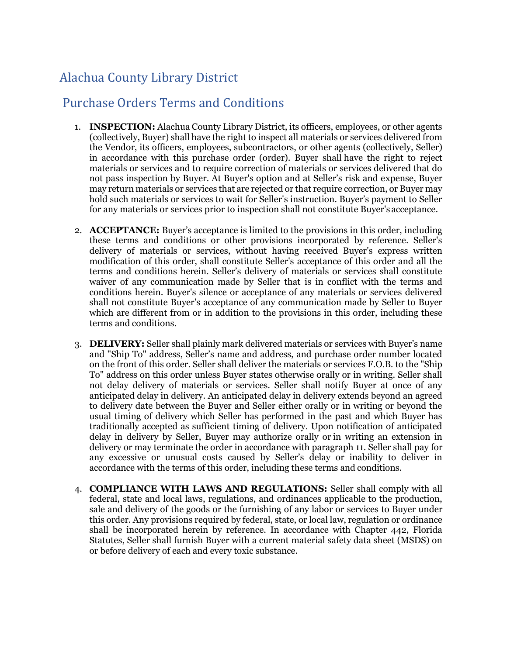## Alachua County Library District

## Purchase Orders Terms and Conditions

- 1. **INSPECTION:** Alachua County Library District, its officers, employees, or other agents (collectively, Buyer) shall have the right to inspect all materials or services delivered from the Vendor, its officers, employees, subcontractors, or other agents (collectively, Seller) in accordance with this purchase order (order). Buyer shall have the right to reject materials or services and to require correction of materials or services delivered that do not pass inspection by Buyer. At Buyer's option and at Seller's risk and expense, Buyer may return materials or services that are rejected or that require correction, or Buyer may hold such materials or services to wait for Seller's instruction. Buyer's payment to Seller for any materials or services prior to inspection shall not constitute Buyer's acceptance.
- 2. **ACCEPTANCE:** Buyer's acceptance is limited to the provisions in this order, including these terms and conditions or other provisions incorporated by reference. Seller's delivery of materials or services, without having received Buyer's express written modification of this order, shall constitute Seller's acceptance of this order and all the terms and conditions herein. Seller's delivery of materials or services shall constitute waiver of any communication made by Seller that is in conflict with the terms and conditions herein. Buyer's silence or acceptance of any materials or services delivered shall not constitute Buyer's acceptance of any communication made by Seller to Buyer which are different from or in addition to the provisions in this order, including these terms and conditions.
- 3. **DELIVERY:** Seller shall plainly mark delivered materials or services with Buyer's name and "Ship To" address, Seller's name and address, and purchase order number located on the front of this order. Seller shall deliver the materials or services F.O.B. to the "Ship To" address on this order unless Buyer states otherwise orally or in writing. Seller shall not delay delivery of materials or services. Seller shall notify Buyer at once of any anticipated delay in delivery. An anticipated delay in delivery extends beyond an agreed to delivery date between the Buyer and Seller either orally or in writing or beyond the usual timing of delivery which Seller has performed in the past and which Buyer has traditionally accepted as sufficient timing of delivery. Upon notification of anticipated delay in delivery by Seller, Buyer may authorize orally or in writing an extension in delivery or may terminate the order in accordance with paragraph 11. Seller shall pay for any excessive or unusual costs caused by Seller's delay or inability to deliver in accordance with the terms of this order, including these terms and conditions.
- 4. **COMPLIANCE WITH LAWS AND REGULATIONS:** Seller shall comply with all federal, state and local laws, regulations, and ordinances applicable to the production, sale and delivery of the goods or the furnishing of any labor or services to Buyer under this order. Any provisions required by federal, state, or local law, regulation or ordinance shall be incorporated herein by reference. In accordance with Chapter 442, Florida Statutes, Seller shall furnish Buyer with a current material safety data sheet (MSDS) on or before delivery of each and every toxic substance.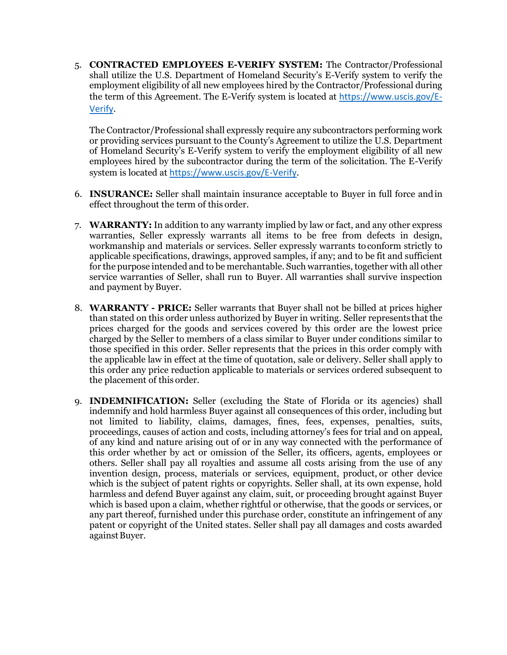5. **CONTRACTED EMPLOYEES E-VERIFY SYSTEM:** The Contractor/Professional shall utilize the U.S. Department of Homeland Security's E-Verify system to verify the employment eligibility of all new employees hired by the Contractor/Professional during the term of this Agreement. The E-Verify system is located at [https://www.uscis.gov/E-](https://www.uscis.gov/E-Verify)[Verify](https://www.uscis.gov/E-Verify).

The Contractor/Professional shall expressly require any subcontractors performing work or providing services pursuant to the County's Agreement to utilize the U.S. Department of Homeland Security's E-Verify system to verify the employment eligibility of all new employees hired by the subcontractor during the term of the solicitation. The E-Verify system is located at <https://www.uscis.gov/E-Verify>.

- 6. **INSURANCE:** Seller shall maintain insurance acceptable to Buyer in full force andin effect throughout the term of this order.
- 7. **WARRANTY:** In addition to any warranty implied by law or fact, and any other express warranties, Seller expressly warrants all items to be free from defects in design, workmanship and materials or services. Seller expressly warrants toconform strictly to applicable specifications, drawings, approved samples, if any; and to be fit and sufficient for the purpose intended and to be merchantable. Such warranties, together with all other service warranties of Seller, shall run to Buyer. All warranties shall survive inspection and payment byBuyer.
- 8. **WARRANTY - PRICE:** Seller warrants that Buyer shall not be billed at prices higher than stated on this order unless authorized by Buyer in writing. Seller representsthat the prices charged for the goods and services covered by this order are the lowest price charged by the Seller to members of a class similar to Buyer under conditions similar to those specified in this order. Seller represents that the prices in this order comply with the applicable law in effect at the time of quotation, sale or delivery. Seller shall apply to this order any price reduction applicable to materials or services ordered subsequent to the placement of this order.
- 9. **INDEMNIFICATION:** Seller (excluding the State of Florida or its agencies) shall indemnify and hold harmless Buyer against all consequences of this order, including but not limited to liability, claims, damages, fines, fees, expenses, penalties, suits, proceedings, causes of action and costs, including attorney's fees for trial and on appeal, of any kind and nature arising out of or in any way connected with the performance of this order whether by act or omission of the Seller, its officers, agents, employees or others. Seller shall pay all royalties and assume all costs arising from the use of any invention design, process, materials or services, equipment, product, or other device which is the subject of patent rights or copyrights. Seller shall, at its own expense, hold harmless and defend Buyer against any claim, suit, or proceeding brought against Buyer which is based upon a claim, whether rightful or otherwise, that the goods or services, or any part thereof, furnished under this purchase order, constitute an infringement of any patent or copyright of the United states. Seller shall pay all damages and costs awarded against Buyer.